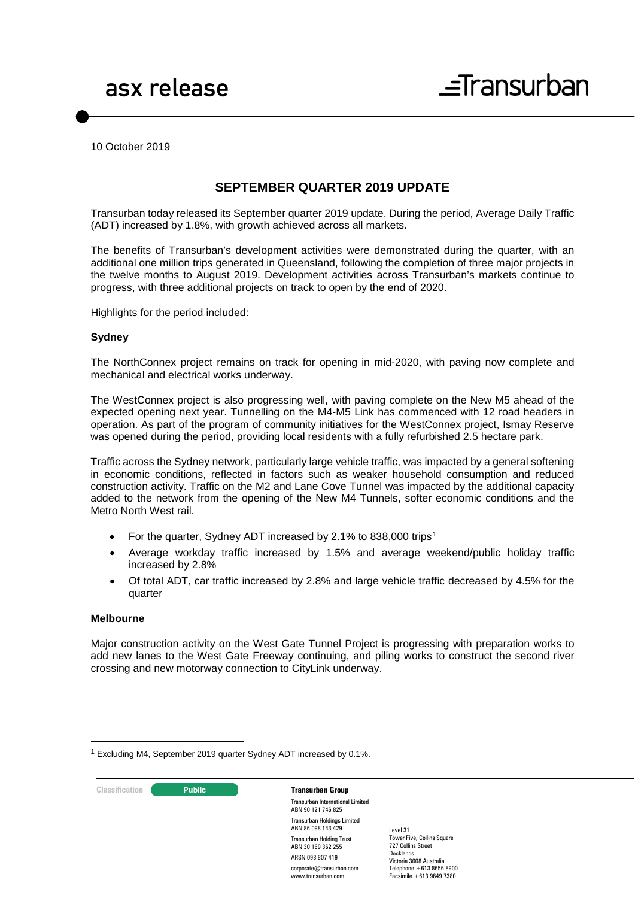10 October 2019

# **SEPTEMBER QUARTER 2019 UPDATE**

Transurban today released its September quarter 2019 update. During the period, Average Daily Traffic (ADT) increased by 1.8%, with growth achieved across all markets.

The benefits of Transurban's development activities were demonstrated during the quarter, with an additional one million trips generated in Queensland, following the completion of three major projects in the twelve months to August 2019. Development activities across Transurban's markets continue to progress, with three additional projects on track to open by the end of 2020.

Highlights for the period included:

#### **Sydney**

The NorthConnex project remains on track for opening in mid-2020, with paving now complete and mechanical and electrical works underway.

The WestConnex project is also progressing well, with paving complete on the New M5 ahead of the expected opening next year. Tunnelling on the M4-M5 Link has commenced with 12 road headers in operation. As part of the program of community initiatives for the WestConnex project, Ismay Reserve was opened during the period, providing local residents with a fully refurbished 2.5 hectare park.

Traffic across the Sydney network, particularly large vehicle traffic, was impacted by a general softening in economic conditions, reflected in factors such as weaker household consumption and reduced construction activity. Traffic on the M2 and Lane Cove Tunnel was impacted by the additional capacity added to the network from the opening of the New M4 Tunnels, softer economic conditions and the Metro North West rail.

- For the quarter, Sydney ADT increased by 2.[1](#page-0-0)% to 838,000 trips<sup>1</sup>
- Average workday traffic increased by 1.5% and average weekend/public holiday traffic increased by 2.8%
- Of total ADT, car traffic increased by 2.8% and large vehicle traffic decreased by 4.5% for the quarter

#### **Melbourne**

-

Major construction activity on the West Gate Tunnel Project is progressing with preparation works to add new lanes to the West Gate Freeway continuing, and piling works to construct the second river crossing and new motorway connection to CityLink underway.

<span id="page-0-0"></span> $1$  Excluding M4, September 2019 quarter Sydney ADT increased by 0.1%.

**Classification Transurban Group** 

Transurban International Limited ABN 90 121 746 825 Transurban Holdings Limited

ABN 86 098 143 429 Transurban Holding Trust ABN 30 169 362 255 ARSN 098 807 419 corporate@transurban.com www.transurban.com

Level 31 Tower Five, Collins Square 727 Collins Street Docklands Victoria 3008 Australia Telephone +613 8656 8900 Facsimile +613 9649 7380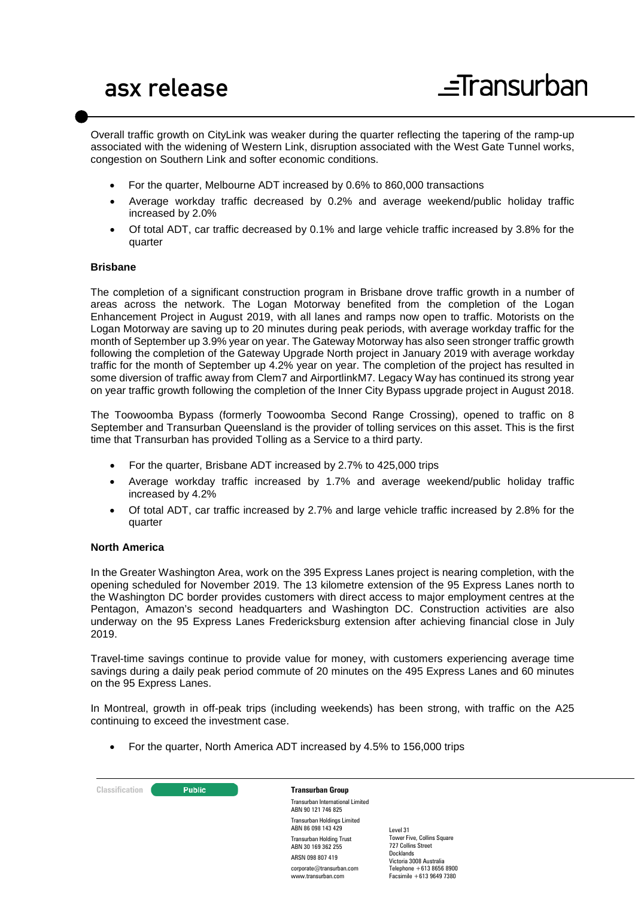Overall traffic growth on CityLink was weaker during the quarter reflecting the tapering of the ramp-up associated with the widening of Western Link, disruption associated with the West Gate Tunnel works, congestion on Southern Link and softer economic conditions.

- For the quarter, Melbourne ADT increased by 0.6% to 860,000 transactions
- Average workday traffic decreased by 0.2% and average weekend/public holiday traffic increased by 2.0%
- Of total ADT, car traffic decreased by 0.1% and large vehicle traffic increased by 3.8% for the quarter

## **Brisbane**

The completion of a significant construction program in Brisbane drove traffic growth in a number of areas across the network. The Logan Motorway benefited from the completion of the Logan Enhancement Project in August 2019, with all lanes and ramps now open to traffic. Motorists on the Logan Motorway are saving up to 20 minutes during peak periods, with average workday traffic for the month of September up 3.9% year on year. The Gateway Motorway has also seen stronger traffic growth following the completion of the Gateway Upgrade North project in January 2019 with average workday traffic for the month of September up 4.2% year on year. The completion of the project has resulted in some diversion of traffic away from Clem7 and AirportlinkM7. Legacy Way has continued its strong year on year traffic growth following the completion of the Inner City Bypass upgrade project in August 2018.

The Toowoomba Bypass (formerly Toowoomba Second Range Crossing), opened to traffic on 8 September and Transurban Queensland is the provider of tolling services on this asset. This is the first time that Transurban has provided Tolling as a Service to a third party.

- For the quarter, Brisbane ADT increased by 2.7% to 425,000 trips
- Average workday traffic increased by 1.7% and average weekend/public holiday traffic increased by 4.2%
- Of total ADT, car traffic increased by 2.7% and large vehicle traffic increased by 2.8% for the quarter

#### **North America**

In the Greater Washington Area, work on the 395 Express Lanes project is nearing completion, with the opening scheduled for November 2019. The 13 kilometre extension of the 95 Express Lanes north to the Washington DC border provides customers with direct access to major employment centres at the Pentagon, Amazon's second headquarters and Washington DC. Construction activities are also underway on the 95 Express Lanes Fredericksburg extension after achieving financial close in July 2019.

Travel-time savings continue to provide value for money, with customers experiencing average time savings during a daily peak period commute of 20 minutes on the 495 Express Lanes and 60 minutes on the 95 Express Lanes.

In Montreal, growth in off-peak trips (including weekends) has been strong, with traffic on the A25 continuing to exceed the investment case.

• For the quarter, North America ADT increased by 4.5% to 156,000 trips

**Classification C Public Transurban Group** Transurban International Limited ABN 90 121 746 825 Transurban Holdings Limited ABN 86 098 143 429 Transurban Holding Trust ABN 30 169 362 255 ARSN 098 807 419 corporate@transurban.com www.transurban.com Level 31 Docklands

Tower Five, Collins Square 727 Collins Street Victoria 3008 Australia Telephone +613 8656 8900 Facsimile +613 9649 7380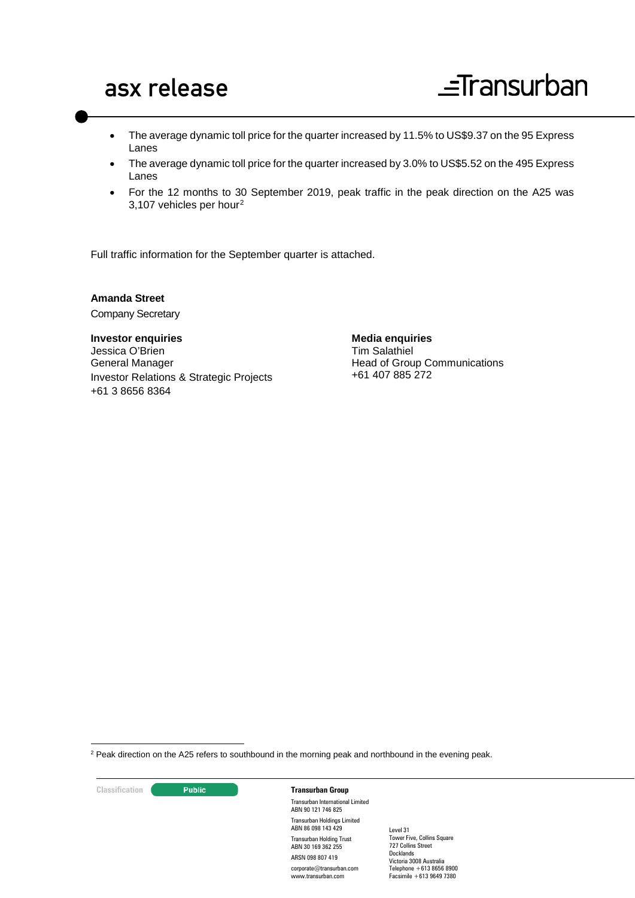- The average dynamic toll price for the quarter increased by 11.5% to US\$9.37 on the 95 Express Lanes
- The average dynamic toll price for the quarter increased by 3.0% to US\$5.52 on the 495 Express Lanes
- For the 12 months to 30 September 2019, peak traffic in the peak direction on the A25 was 3,107 vehicles per hour[2](#page-2-0)

Full traffic information for the September quarter is attached.

**Amanda Street** Company Secretary

**Investor enquiries** Jessica O'Brien General Manager Investor Relations & Strategic Projects +61 3 8656 8364

**Media enquiries** Tim Salathiel Head of Group Communications +61 407 885 272

<span id="page-2-0"></span><sup>2</sup> Peak direction on the A25 refers to southbound in the morning peak and northbound in the evening peak.

**Classification C Transurban Group** 

-

Transurban International Limited ABN 90 121 746 825 Transurban Holdings Limited ABN 86 098 143 429 Transurban Holding Trust ABN 30 169 362 255 ARSN 098 807 419 corporate@transurban.com www.transurban.com

Level 31 Tower Five, Collins Square 727 Collins Street Docklands Victoria 3008 Australia Telephone +613 8656 8900 Facsimile +613 9649 7380